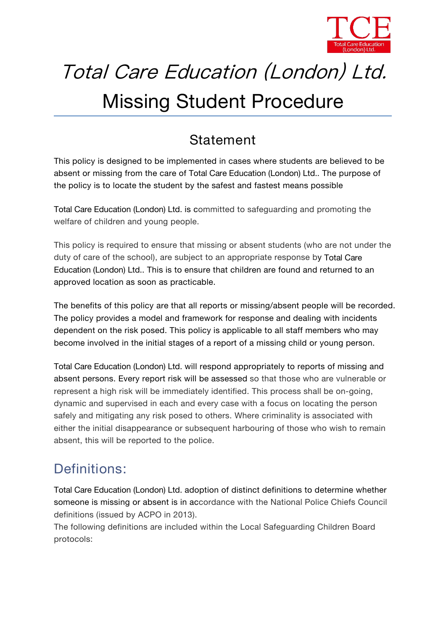

# Total Care Education (London) Ltd.

## Missing Student Procedure

## **Statement**

This policy is designed to be implemented in cases where students are believed to be absent or missing from the care of *Total Care Education (London) Ltd.*. The purpose of the policy is to locate the student by the safest and fastest means possible

*Total Care Education (London) Ltd.* is committed to safeguarding and promoting the welfare of children and young people.

This policy is required to ensure that missing or absent students (who are not under the duty of care of the school), are subject to an appropriate response by *Total Care Education (London) Ltd.*. This is to ensure that children are found and returned to an approved location as soon as practicable.

The benefits of this policy are that all reports or missing/absent people will be recorded. The policy provides a model and framework for response and dealing with incidents dependent on the risk posed. This policy is applicable to all staff members who may become involved in the initial stages of a report of a missing child or young person.

*Total Care Education (London) Ltd.* will respond appropriately to reports of missing and absent persons. Every report risk will be assessed so that those who are vulnerable or represent a high risk will be immediately identified. This process shall be on-going, dynamic and supervised in each and every case with a focus on locating the person safely and mitigating any risk posed to others. Where criminality is associated with either the initial disappearance or subsequent harbouring of those who wish to remain absent, this will be reported to the police.

## **Definitions:**

*Total Care Education (London) Ltd.* adoption of distinct definitions to determine whether someone is missing or absent is in accordance with the National Police Chiefs Council definitions (issued by ACPO in 2013).

The following definitions are included within the Local Safeguarding Children Board protocols: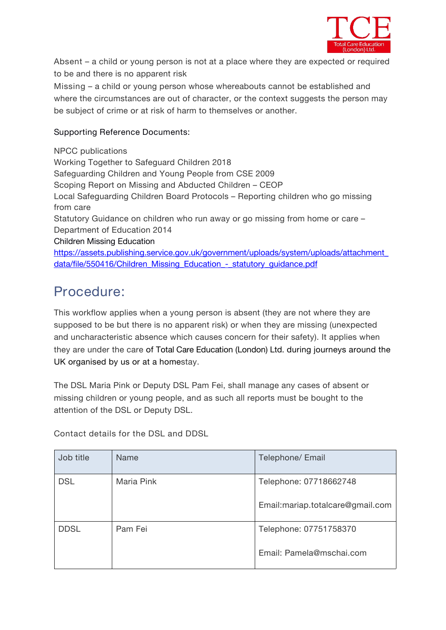

**Absent** – a child or young person isnot at a place where they are expected or required to be and there is no apparent risk

Missing – a child or young person whose whereabouts cannot be established and where the circumstances are out of character, or the context suggests the person may be subject of crime or at risk of harm to themselves or another.

#### **Supporting Reference Documents:**

NPCC publications Working Together to Safeguard Children 2018 Safeguarding Children and Young People from CSE 2009 Scoping Report on Missing and Abducted Children – CEOP Local Safeguarding Children Board Protocols – Reporting children who go missing from care Statutory Guidance on children who run away or go missing from home or care – Department of Education 2014 Children Missing Education [https://assets.publishing.service.gov.uk/government/uploads/system/uploads/attachment\\_](about:blank) data/file/550416/Children\_Missing\_Education - statutory\_guidance.pdf

## **Procedure:**

This workflow applies when a young person is absent (they are not where they are supposed to be but there is no apparent risk) or when they are missing (unexpected and uncharacteristic absence which causes concern for their safety). It applies when they are under the care of *Total Care Education (London) Ltd.* during journeys around the UK organised by us or at a homestay.

The DSL Maria Pink or Deputy DSL Pam Fei, shall manage any cases of absent or missing children or young people, and as such all reports must be bought to the attention of the DSL or Deputy DSL.

**Contact details for the DSL and DDSL**

| Job title   | Name       | Telephone/ Email                  |
|-------------|------------|-----------------------------------|
| <b>DSL</b>  | Maria Pink | Telephone: 07718662748            |
|             |            | Email: mariap.totalcare@gmail.com |
| <b>DDSL</b> | Pam Fei    | Telephone: 07751758370            |
|             |            | Email: Pamela@mschai.com          |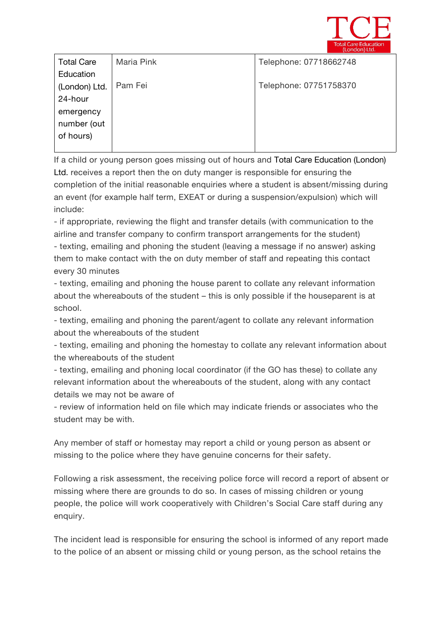

| <b>Total Care</b> | Maria Pink | Telephone: 07718662748 |  |
|-------------------|------------|------------------------|--|
| Education         |            |                        |  |
| (London) Ltd.     | Pam Fei    | Telephone: 07751758370 |  |
| 24-hour           |            |                        |  |
| emergency         |            |                        |  |
| number (out       |            |                        |  |
| of hours)         |            |                        |  |
|                   |            |                        |  |

If a child or young person goes missing out of hours and *Total Care Education (London) Ltd.* receives a report then the on duty manger is responsible for ensuring the completion of the initial reasonable enquiries where a student is absent/missing during an event (for example half term, EXEAT or during a suspension/expulsion) which will include:

- if appropriate, reviewing the flight and transfer details (with communication to the airline and transfer company to confirm transport arrangements for the student) - texting, emailing and phoning the student (leaving a message if no answer) asking them to make contact with the on duty member of staff and repeating this contact every 30 minutes

- texting, emailing and phoning the house parent to collate any relevant information about the whereabouts of the student – this is only possible if the houseparent is at school.

- texting, emailing and phoning the parent/agent to collate any relevant information about the whereabouts of the student

- texting, emailing and phoning the homestay to collate any relevant information about the whereabouts of the student

- texting, emailing and phoning local coordinator (if the GO has these) to collate any relevant information about the whereabouts of the student, along with any contact details we may not be aware of

- review of information held on file which may indicate friends or associates who the student may be with.

Any member of staff or homestay may report a child or young person as absent or missing to the police where they have genuine concerns for their safety.

Following a risk assessment, the receiving police force will record a report of absent or missing where there are grounds to do so. In cases of missing children or young people, the police will work cooperatively with Children's Social Care staff during any enquiry.

The incident lead is responsible for ensuring the school is informed of any report made to the police of an absent or missing child or young person, as the school retains the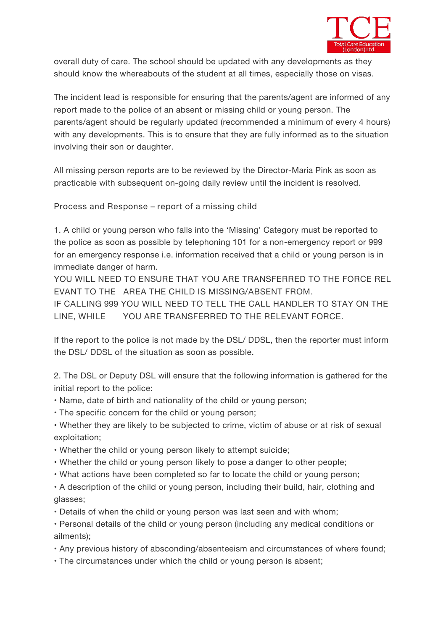

overall duty of care. The school should be updated with any developments as they should know the whereabouts of the student at all times, especially those on visas.

The incident lead is responsible for ensuring that the parents/agent are informed of any report made to the police of an absent or missing child or young person. The parents/agent should be regularly updated (recommended a minimum of every 4 hours) with any developments. This is to ensure that they are fully informed as to the situation involving their son or daughter.

All missing person reports are to be reviewed by *the Director-Maria Pink* as soon as practicable with subsequent on-going daily review until the incident is resolved.

**Process and Response – report of a missing child**

1. A child or young person who falls into the 'Missing' Category must be reported to the police as soon as possible by telephoning 101 for a non-emergency report or 999 for an emergency response i.e. information received that a child or young person is in immediate danger of harm.

**YOU WILLNEED TO ENSURE THAT YOU ARE TRANSFERRED TO THE FORCE REL EVANT TO THE AREA THE CHILD IS MISSING/ABSENT FROM.**

**IF CALLING 999 YOU WILLNEED TO TELL THE CALL HANDLER TO STAY ON THE LINE, WHILE YOU ARE TRANSFERRED TO THE RELEVANT FORCE.**

If the report to the police is not made by the DSL/ DDSL, then the reporter must inform the DSL/ DDSL of the situation as soon as possible.

2. The DSL or Deputy DSL will ensure that the following information is gathered for the initial report to the police:

- Name, date of birth and nationality of the child or young person;
- The specific concern for the child or young person;
- Whether they are likely to be subjected to crime, victim of abuse or at risk of sexual exploitation;
- Whether the child or young person likely to attempt suicide;
- Whether the child or young person likely to pose a danger to other people;
- What actions have been completed so far to locate the child or young person;
- A description of the child or young person, including their build, hair, clothing and glasses;
- Details of when the child or young person was last seen and with whom;
- Personal details of the child or young person (including any medical conditions or ailments);
- Any previous history of absconding/absenteeism and circumstances of where found;
- The circumstances under which the child or young person is absent: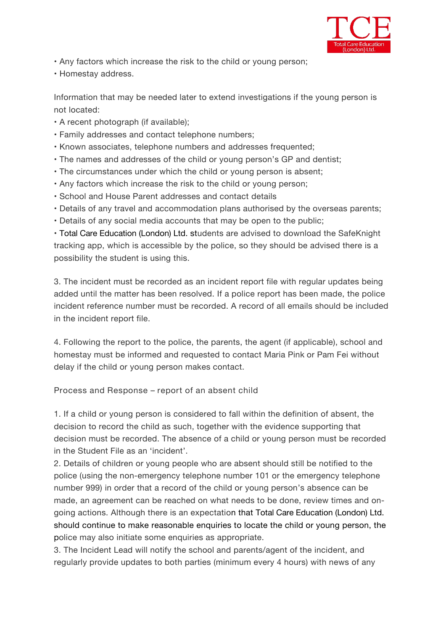

- Any factors which increase the risk to the child or young person;
- Homestay address.

Information that may be needed later to extend investigations if the young person is not located:

- A recent photograph (if available);
- Family addresses and contact telephone numbers;
- Known associates, telephone numbers and addresses frequented;
- The names and addresses of the child or young person's GP and dentist;
- The circumstances under which the child or young person is absent;
- Any factors which increase the risk to the child or young person;
- School and House Parent addresses and contact details
- Details of any travel and accommodation plans authorised by the overseas parents;
- Details of any social media accounts that may be open to the public;

• *Total Care Education (London) Ltd.* students are advised to download the SafeKnight tracking app, which is accessible by the police, so they should be advised there is a possibility the student is using this.

3. The incident must be recorded as an incident report file with regular updates being added until the matter has been resolved. If a police report has been made, the police incident reference number must be recorded. A record of all emails should be included in the incident report file.

4. Following the report to the police, the parents, the agent (if applicable), school and homestay must be informed and requested to contact *Maria Pink orPam Fei* without delay if the child or young person makes contact.

**Process and Response – report of an absent child**

1. If a child or young person is considered to fall within the definition of absent, the decision to record the child as such, together with the evidence supporting that decision must be recorded. The absence of a child or young person must be recorded in the Student File as an 'incident'.

2. Details of children or young people who are absent should still be notified to the police (using the non-emergency telephone number 101 or the emergency telephone number 999) in order that a record of the child or young person's absence can be made, an agreement can be reached on what needs to be done, review times and on going actions. Although there is an expectation that *Total Care Education (London) Ltd.* should continue to make reasonable enquiries to locate the child or young person, the police may also initiate some enquiries as appropriate.

3. The *Incident Lead* will notify the school and parents/agent of the incident, and regularly provide updates to both parties (minimum every 4 hours) with news of any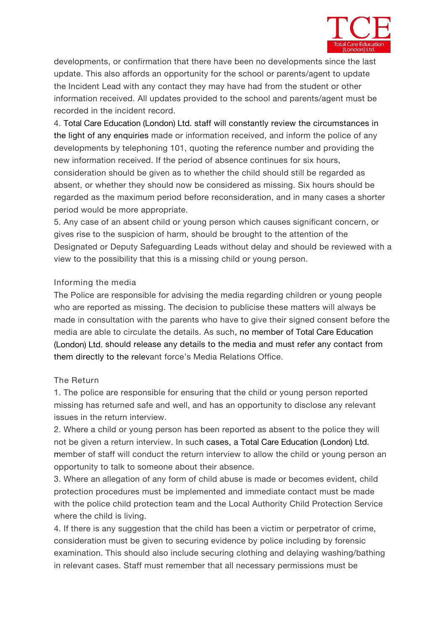

developments, or confirmation that there have been no developments since the last update. This also affords an opportunity for the school or parents/agent to update the *Incident Lead* with any contact they may have had from the student or other information received. All updates provided to the school and parents/agent must be recorded in the incident record.

4. *Total Care Education (London) Ltd.* staff will constantly review the circumstances in the light of any enquiries made or information received, and inform the police of any developments by telephoning 101, quoting the reference numberand providing the new information received. If the period of absence continues for six hours, consideration should be given as to whether the child should still be regarded as absent, or whether they should now be considered as missing. Six hours should be regarded as the maximum period before reconsideration, and in many cases a shorter period would be more appropriate.

5. Any case of an absent child or young person which causes significant concern, or gives rise to the suspicion of harm, should be brought to the attention of the Designated or Deputy Safeguarding Leads without delay and should be reviewed with a view to the possibility that this is a missing child or young person.

#### **Informing the media**

The Police are responsible for advising the media regarding children or young people who are reported as missing. The decision to publicise these matters will always be made in consultation with the parents who have to give their signed consent before the media are able to circulate the details. As such, no member of *Total Care Education (London) Ltd.* should release any details to the media and must refer any contact from them directly to the relevant force's Media Relations Office.

#### **The Return**

1. The police are responsible for ensuring that the child or young person reported missing has returned safe and well, and has an opportunity to disclose any relevant issues in the return interview.

2. Where a child or young person has been reported as absent to the police they will not be given a return interview. In such cases, a *Total Care Education (London) Ltd.* member of staff will conduct the return interview to allow the child or young person an opportunity to talk to someone about their absence.

3. Where an allegation of any form of child abuse is made or becomes evident, child protection procedures must be implemented and immediate contact must be made with the police child protection team and the Local Authority Child Protection Service where the child is living.

4. If there is any suggestion that the child has been a victim or perpetrator of crime, consideration must be given to securing evidence by police including by forensic examination. This should also include securing clothing and delaying washing/bathing in relevant cases. Staff must remember that all necessary permissions must be